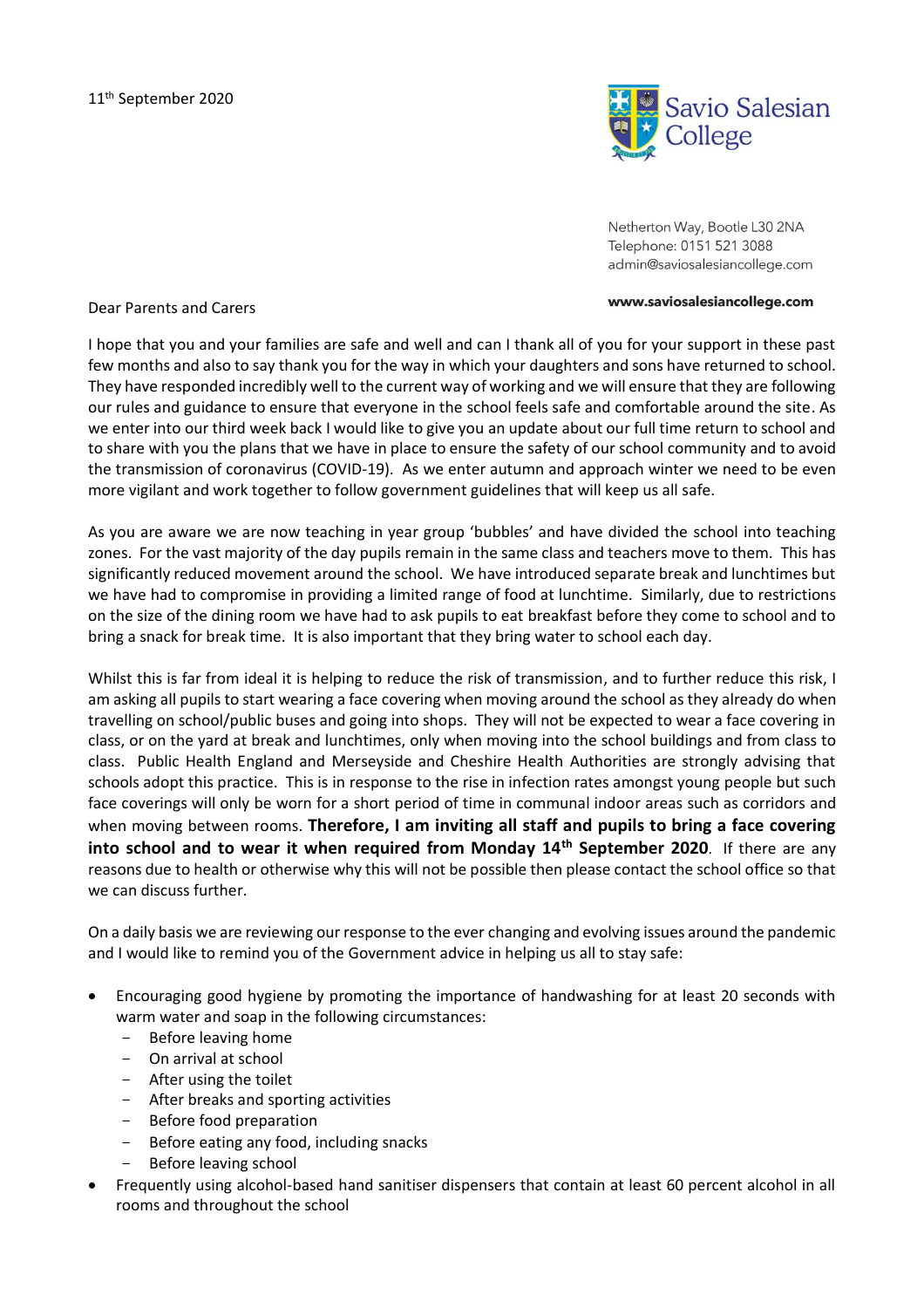

Netherton Way, Bootle L30 2NA Telephone: 0151 521 3088 admin@saviosalesiancollege.com

## www.saviosalesiancollege.com

## Dear Parents and Carers

I hope that you and your families are safe and well and can I thank all of you for your support in these past few months and also to say thank you for the way in which your daughters and sons have returned to school. They have responded incredibly well to the current way of working and we will ensure that they are following our rules and guidance to ensure that everyone in the school feels safe and comfortable around the site. As we enter into our third week back I would like to give you an update about our full time return to school and to share with you the plans that we have in place to ensure the safety of our school community and to avoid the transmission of coronavirus (COVID-19). As we enter autumn and approach winter we need to be even more vigilant and work together to follow government guidelines that will keep us all safe.

As you are aware we are now teaching in year group 'bubbles' and have divided the school into teaching zones. For the vast majority of the day pupils remain in the same class and teachers move to them. This has significantly reduced movement around the school. We have introduced separate break and lunchtimes but we have had to compromise in providing a limited range of food at lunchtime. Similarly, due to restrictions on the size of the dining room we have had to ask pupils to eat breakfast before they come to school and to bring a snack for break time. It is also important that they bring water to school each day.

Whilst this is far from ideal it is helping to reduce the risk of transmission, and to further reduce this risk, I am asking all pupils to start wearing a face covering when moving around the school as they already do when travelling on school/public buses and going into shops. They will not be expected to wear a face covering in class, or on the yard at break and lunchtimes, only when moving into the school buildings and from class to class. Public Health England and Merseyside and Cheshire Health Authorities are strongly advising that schools adopt this practice. This is in response to the rise in infection rates amongst young people but such face coverings will only be worn for a short period of time in communal indoor areas such as corridors and when moving between rooms. **Therefore, I am inviting all staff and pupils to bring a face covering into school and to wear it when required from Monday 14th September 2020**. If there are any reasons due to health or otherwise why this will not be possible then please contact the school office so that we can discuss further.

On a daily basis we are reviewing our response to the ever changing and evolving issues around the pandemic and I would like to remind you of the Government advice in helping us all to stay safe:

- Encouraging good hygiene by promoting the importance of handwashing for at least 20 seconds with warm water and soap in the following circumstances:
	- Before leaving home
	- On arrival at school
	- After using the toilet
	- After breaks and sporting activities
	- Before food preparation
	- Before eating any food, including snacks
	- Before leaving school
- Frequently using alcohol-based hand sanitiser dispensers that contain at least 60 percent alcohol in all rooms and throughout the school